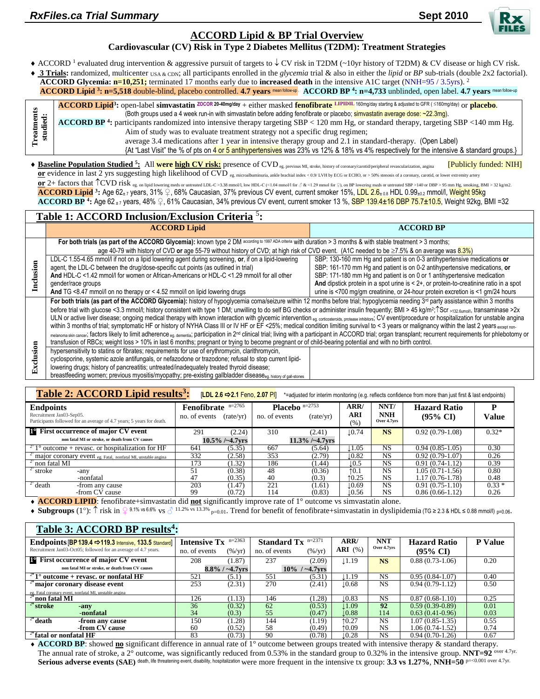# <span id="page-0-2"></span>**ACCORD Lipid & BP Trial Overview**

## <span id="page-0-1"></span><span id="page-0-0"></span>**Cardiovascular (CV) Risk in Type 2 Diabetes Mellitus (T2DM): Treatment Strategies**

• ACCORD<sup>1</sup> evaluated drug intervention & aggressive pursuit of targets to  $\downarrow$  CV risk in T2DM (~10yr history of T2DM) & CV disease or high CV risk.

 **3 Trials:** randomized, multicenter USA & CDN; all participants enrolled in the *glycemia* trial & also in either the *lipid* or *BP* sub-trials (double 2x2 factorial). **ACCORD Glycemia:**  $n=10,251$ **;** terminated 17 months early due to **increased death** in the intensive A1C target (NNH=95 / 3.5yrs). <sup>2</sup> **ACCORD Lipid** <sup>3</sup>[:](#page-0-0) n=5,518 double-blind, placebo controlled. **[4](#page-0-1).7 years mean follow-up. ACCORD BP** <sup>4</sup>: n=4,733 unblinded, open label. 4.7 years mean follow-up

|                 | <b>ACCORD Lipid</b> <sup>3</sup> : open-label simvastatin <sup>ZOCOR</sup> 20-40mg/day + either masked fenofibrate LIPIDIL 160mg/day starting & adjusted to GFR ( ≤160mg/day) or placebo. |
|-----------------|-------------------------------------------------------------------------------------------------------------------------------------------------------------------------------------------|
|                 | (Both groups used a 4 week run-in with simvastatin before adding fenofibrate or placebo; simvastatin average dose: ~22.3mg).                                                              |
|                 | ACCORD BP <sup>4</sup> : participants randomized into intensive therapy targeting SBP < 120 mm Hg, or standard therapy, targeting SBP < 140 mm Hg.                                        |
| reatm<br>studie | Aim of study was to evaluate treatment strategy not a specific drug regimen;                                                                                                              |
|                 | average 3.4 medications after 1 year in intensive therapy group and 2.1 in standard-therapy. (Open Label)                                                                                 |
|                 | {At "Last Visit" the % of pts on 4 or 5 antihypertensives was 23% vs 12% & 18% vs 4% respectively for the intensive & standard groups.}                                                   |

◆ Baseline Population Studied <sup>5</sup>[:](#page-0-2) All were high CV risk:</u> presence of CVD eg. previous MI, stroke, history of coronary/carotid/peripheral revascularization, angina [Publicly funded: NIH] **or** evidence in last 2 yrs suggesting high likelihood of CVD <sub>eg. microalbuminuria, ankle brachial index < 0.9/ LVH by ECG or ECHO, or > 50% stenosis of a coronary, carotid, or lower extremity artery</sub> <u>or</u> 2+ factors that ↑ CVD risk eg. on lipid lowering meds or untreated LDL-C >3.38 mmol/l, low HDL-C (<1.04 mmol/l for 3 & <1.29 mmol for  $\frac{1}{2}$ ), on BP lowering meds or untreated SBP > 140 or DBP > 95 mm Hg, smoking,

**ACCORD Lipid <sup>3</sup> [:](#page-0-0)** Age 62± 7 years, 31% ♀, 68% Caucasian, 37% previous CV event, current smoker 15%, LDL 2.6± 0.8 HDL 0.99±0.2 mmol/l, Weight 95kg **ACCORD BP <sup>4</sup> [:](#page-0-1)** Age 62 ± 7 years, 48% ♀, 61% Caucasian, 34% previous CV event, current smoker 13 %, SBP 139.4±16 DBP 75.7±10.5, Weight 92kg, BMI =32

|           | Table 1: ACCORD Inclusion/Exclusion Criteria <sup>5</sup> :                                                                                                                                                                                                                                                                                                                                                                                                                                                                                                                                                                                                                                                                                                                                                                                                                                                                                                                                                                                                                                                                                                                                                            |                                                                                                                                                                                                                                                        |  |  |  |  |  |  |
|-----------|------------------------------------------------------------------------------------------------------------------------------------------------------------------------------------------------------------------------------------------------------------------------------------------------------------------------------------------------------------------------------------------------------------------------------------------------------------------------------------------------------------------------------------------------------------------------------------------------------------------------------------------------------------------------------------------------------------------------------------------------------------------------------------------------------------------------------------------------------------------------------------------------------------------------------------------------------------------------------------------------------------------------------------------------------------------------------------------------------------------------------------------------------------------------------------------------------------------------|--------------------------------------------------------------------------------------------------------------------------------------------------------------------------------------------------------------------------------------------------------|--|--|--|--|--|--|
|           | <b>ACCORD Lipid</b>                                                                                                                                                                                                                                                                                                                                                                                                                                                                                                                                                                                                                                                                                                                                                                                                                                                                                                                                                                                                                                                                                                                                                                                                    | <b>ACCORD BP</b>                                                                                                                                                                                                                                       |  |  |  |  |  |  |
|           | For both trials (as part of the ACCORD Glycemia): known type 2 DM according to 1997 ADA criteria with duration > 3 months & with stable treatment > 3 months;<br>age 40-79 with history of CVD or age 55-79 without history of CVD; at high risk of CVD event. (A1C needed to be $\geq 7.5\%$ & on average was $8.3\%$ )                                                                                                                                                                                                                                                                                                                                                                                                                                                                                                                                                                                                                                                                                                                                                                                                                                                                                               |                                                                                                                                                                                                                                                        |  |  |  |  |  |  |
|           | LDL-C 1.55-4.65 mmol/l if not on a lipid lowering agent during screening, or, if on a lipid-lowering<br>agent, the LDL-C between the drug/dose-specific cut points (as outlined in trial)<br>And HDL-C <1.42 mmol/l for women or African-Americans or HDL-C <1.29 mmol/l for all other                                                                                                                                                                                                                                                                                                                                                                                                                                                                                                                                                                                                                                                                                                                                                                                                                                                                                                                                 | SBP: 130-160 mm Hq and patient is on 0-3 antihypertensive medications or<br>SBP: 161-170 mm Hg and patient is on 0-2 antihypertensive medications, or                                                                                                  |  |  |  |  |  |  |
| Inclusion | gender/race groups<br>And TG <8.47 mmol/l on no therapy or < 4.52 mmol/l on lipid lowering drugs                                                                                                                                                                                                                                                                                                                                                                                                                                                                                                                                                                                                                                                                                                                                                                                                                                                                                                                                                                                                                                                                                                                       | SBP: 171-180 mm Hg and patient is on 0 or 1 antihypertensive medication<br>And dipstick protein in a spot urine is $< 2+$ , or protein-to-creatinine ratio in a spot<br>urine is <700 mg/gm creatinine, or 24-hour protein excretion is <1 gm/24 hours |  |  |  |  |  |  |
|           | For both trials (as part of the ACCORD Glycemia): history of hypoglycemia coma/seizure within 12 months before trial; hypoglycemia needing 3 <sup>rd</sup> party assistance within 3 months<br>before trial with glucose <3.3 mmol/l; history consistent with type 1 DM; unwilling to do self BG checks or administer insulin frequently; BMI > 45 kg/m <sup>2</sup> ; Scr >132 6iumol/l, transaminase >2x<br>ULN or active liver disease; ongoing medical therapy with known interaction with glycemic intervention eg. corticosleroids, protease inhibitors; CV event/procedure or hospitalization for unstable angina<br>within 3 months of trial; symptomatic HF or history of NYHA Class III or IV HF or EF <25%; medical condition limiting survival to < 3 years or malignancy within the last 2 years except non-<br>melanoma skin cancer; factors likely to limit adherence eg. dementia; participation in 2 <sup>nd</sup> clinical trial; living with a participation th ACCORD trial; organ transplant; recurrent requirements for phlebotomy or<br>transfusion of RBCs; weight loss > 10% in last 6 months; pregnant or trying to become pregnant or of child-bearing potential and with no birth control. |                                                                                                                                                                                                                                                        |  |  |  |  |  |  |
| Exclusion | hypersensitivity to statins or fibrates; requirements for use of erythromycin, clarithromycin,<br>cyclosporine, systemic azole antifungals, or nefazodone or trazodone; refusal to stop current lipid-<br>lowering drugs; history of pancreatitis; untreated/inadequately treated thyroid disease;<br>breastfeeding women; previous myositis/myopathy; pre-existing gallbladder disease <sub>ed</sub> history of gall-stones                                                                                                                                                                                                                                                                                                                                                                                                                                                                                                                                                                                                                                                                                                                                                                                           |                                                                                                                                                                                                                                                        |  |  |  |  |  |  |

| Table 2: ACCORD Lipid results <sup>3</sup> :<br>[LDL 2.6 ⇒ 2.1 Feno, 2.07 PI]<br>*=adjusted for interim monitoring (e.g. reflects confidence from more than just first & last endpoints) |                                                       |                   |                                                       |                   |                    |                                   |                                            |            |  |
|------------------------------------------------------------------------------------------------------------------------------------------------------------------------------------------|-------------------------------------------------------|-------------------|-------------------------------------------------------|-------------------|--------------------|-----------------------------------|--------------------------------------------|------------|--|
| <b>Endpoints</b><br>Recruitment Jan03-Sep05.<br>Participants followed for an average of 4.7 years; 5 years for death.                                                                    | $n=2765$<br>Fenofibrate<br>no. of events<br>(rate/yr) |                   | <b>Placebo</b> $n=2753$<br>no. of events<br>(rate/yr) |                   | ARR/<br>ARI<br>(%) | NNT/<br><b>NNH</b><br>Over 4.7yrs | <b>Hazard Ratio</b><br>$(95\% \text{ CI})$ | D<br>Value |  |
| <b>E</b> First occurrence of major CV event                                                                                                                                              | 291                                                   | (2.24)            | 310                                                   | (2.41)            | $\downarrow$ 0.74  | <b>NS</b>                         | $0.92(0.79-1.08)$                          | $0.32*$    |  |
| non fatal MI or stroke, or death from CV causes                                                                                                                                          |                                                       | $10.5\%$ /~4.7yrs |                                                       | $11.3\%$ /~4.7yrs |                    |                                   |                                            |            |  |
| $2^{\circ}$ 1° outcome + revasc. or hospitalization for HF                                                                                                                               | 641                                                   | (5.35)            | 667                                                   | (5.64)            | 1.05               | <b>NS</b>                         | $0.94(0.85-1.05)$                          | 0.30       |  |
| <sup>2°</sup> major coronary event eg. Fatal, nonfatal MI, unstable angina                                                                                                               | 332                                                   | (2.58)            | 353                                                   | (2.79)            | 10.82              | <b>NS</b>                         | $0.92(0.79-1.07)$                          | 0.26       |  |
| $2^\circ$ non fatal MI                                                                                                                                                                   | 173                                                   | (1.32)            | 186                                                   | (1.44)            | l.O.5              | <b>NS</b>                         | $0.91(0.74-1.12)$                          | 0.39       |  |
| $2^\circ$ stroke<br>-anv                                                                                                                                                                 | 51                                                    | (0.38)            | 48                                                    | (0.36)            | $\uparrow$ 0.1     | NS.                               | 1.05 (0.71-1.56)                           | 0.80       |  |
| -nonfatal                                                                                                                                                                                | 47                                                    | (0.35)            | 40                                                    | (0.3)             | 10.25              | <b>NS</b>                         | 1.17 (0.76-1.78)                           | 0.48       |  |
| $2^{\circ}$ death<br>-from any cause                                                                                                                                                     | $20\overline{3}$                                      | (1.47)            | $2\overline{2}1$                                      | (1.61)            | $\pm 0.69$         | <b>NS</b>                         | $0.91(0.75-1.10)$                          | $0.33*$    |  |
| -from CV cause                                                                                                                                                                           | 99                                                    | (0.72)            | 114                                                   | (0.83)            | 10.56              | NS                                | $0.86(0.66-1.12)$                          | 0.26       |  |

**ACCORD LIPID**: fenofibrate+simvastatin did **not** significantly improve rate of 1° outcome vs simvastatin alone.

**Subgroups** (1°):  $\uparrow$  risk in  $\Omega$  9.1% vs 6.6% vs  $\partial$  11.2% vs 13.3% <sub>p=0.01</sub>. Trend for benefit of fenofibrate+simvastatin in dyslipidemia (TG ≥ 2.3 & HDL ≤ 0.88 mmol/l) p=0.06.

| Table 3: ACCORD BP results <sup>4</sup> :                          |                              |                   |                             |                   |                   |             |                     |                |
|--------------------------------------------------------------------|------------------------------|-------------------|-----------------------------|-------------------|-------------------|-------------|---------------------|----------------|
| Endpoints [BP 139.4 $\Rightarrow$ 119.3 Intensive, 133.5 Standard] | <b>Intensive Tx</b> $n=2363$ |                   | <b>Standard Tx</b> $n=2371$ |                   | ARR/              | <b>NNT</b>  | <b>Hazard Ratio</b> | <b>P</b> Value |
| Recruitment Jan03-Oct05; followed for an average of 4.7 years.     | no. of events                | $(\frac{\%}{vr})$ | no. of events               | $(\frac{\%}{yr})$ | $ARI$ (%)         | Over 4.7yrs | $(95\% \text{ CI})$ |                |
| <b>F</b> First occurrence of major CV event                        | 208                          | (1.87)            | 237                         | (2.09)            | $\downarrow$ 1.19 | <b>NS</b>   | $0.88(0.73-1.06)$   | 0.20           |
| non fatal MI or stroke, or death from CV causes                    |                              | $8.8\%$ / ~4.7vrs |                             | $10\%$ / ~4.7 vrs |                   |             |                     |                |
| $2^{\circ}$ 1° outcome + revasc. or nonfatal HF                    | 521                          | (5.1)             | 551                         | (5.31)            | 1.19              | <b>NS</b>   | $0.95(0.84-1.07)$   | 0.40           |
| major coronary disease event                                       | 253                          | (2.31)            | 270                         | (2.41)            | $\downarrow$ 0.68 | <b>NS</b>   | $0.94(0.79-1.12)$   | 0.50           |
| eg. Fatal coronary event, nonfatal MI, unstable angina             |                              |                   |                             |                   |                   |             |                     |                |
| $2^{\circ}$ non fatal MI                                           | 126                          | (1.13)            | 146                         | (1.28)            | $\downarrow$ 0.83 | <b>NS</b>   | $0.87(0.68-1.10)$   | 0.25           |
| <sup>2</sup> <sup>°</sup> stroke<br>-any                           | 36                           | (0.32)            | 62                          | (0.53)            | $\pm 1.09$        | 92          | $0.59(0.39-0.89)$   | 0.01           |
| -nonfatal                                                          | 34                           | (0.3)             | 55                          | (0.47)            | $\downarrow$ 0.88 | 114         | $0.63(0.41-0.96)$   | 0.03           |
| $2^{\circ}$ death<br>-from any cause                               | 150                          | (1.28)            | 144                         | (1.19)            | 10.27             | <b>NS</b>   | $1.07(0.85-1.35)$   | 0.55           |
| -from CV cause                                                     | 60                           | (0.52)            | 58                          | (0.49)            | 10.09             | <b>NS</b>   | $1.06(0.74-1.52)$   | 0.74           |
| $2^{\circ}$ fatal or nonfatal HF                                   | 83                           | (0.73)            | -90                         | (0.78)            | $\downarrow$ 0.28 | <b>NS</b>   | $0.94(0.70-1.26)$   | 0.67           |

◆ **ACCORD BP**: showed **no** significant difference in annual rate of 1° outcome between groups treated with intensive therapy & standard therapy. The annual rate of stroke, a 2° outcome, was significantly reduced from 0.53% in the standard group to 0.32% in the intensive group. **NNT=92** over 4.7yr. **Serious adverse events (SAE)** death, life threatening event, disability, hospitalization were more frequent in the intensive tx group: **3.3 vs 1.27%**, **NNH=50** p=<0.001 over 4.7yr.